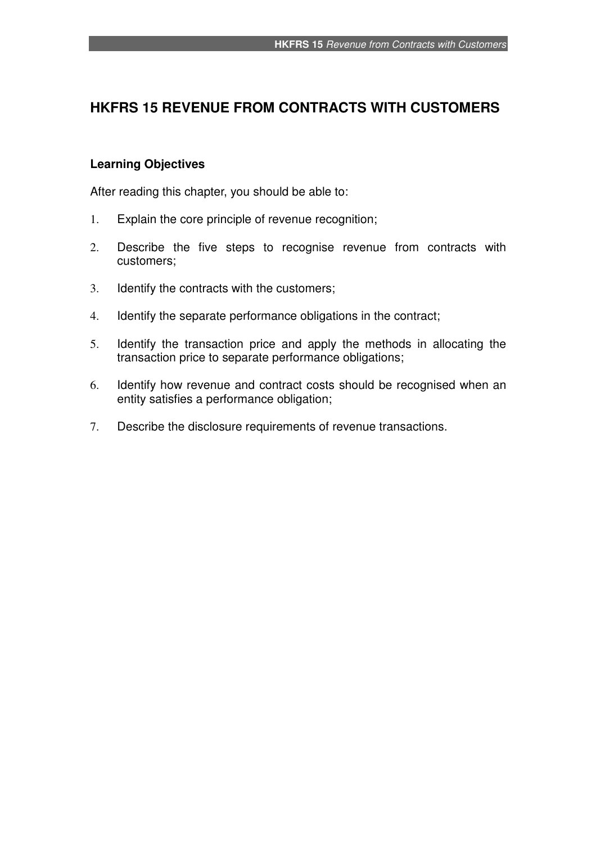# **HKFRS 15 REVENUE FROM CONTRACTS WITH CUSTOMERS**

## **Learning Objectives**

After reading this chapter, you should be able to:

- 1. Explain the core principle of revenue recognition;
- 2. Describe the five steps to recognise revenue from contracts with customers;
- 3. Identify the contracts with the customers;
- 4. Identify the separate performance obligations in the contract;
- 5. Identify the transaction price and apply the methods in allocating the transaction price to separate performance obligations;
- 6. Identify how revenue and contract costs should be recognised when an entity satisfies a performance obligation;
- 7. Describe the disclosure requirements of revenue transactions.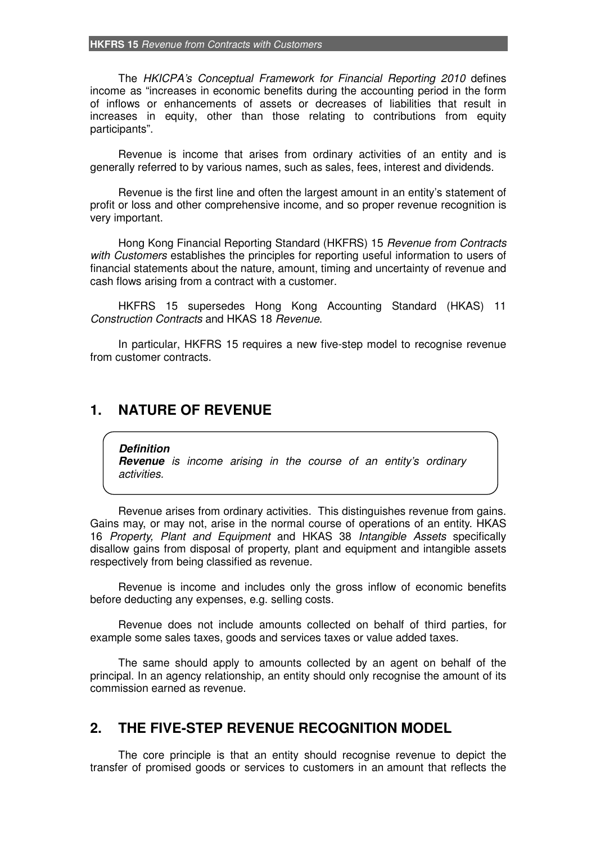#### **HKFRS 15** *Revenue from Contracts with Customers*

The *HKICPA's Conceptual Framework for Financial Reporting 2010* defines income as "increases in economic benefits during the accounting period in the form of inflows or enhancements of assets or decreases of liabilities that result in increases in equity, other than those relating to contributions from equity participants".

Revenue is income that arises from ordinary activities of an entity and is generally referred to by various names, such as sales, fees, interest and dividends.

Revenue is the first line and often the largest amount in an entity's statement of profit or loss and other comprehensive income, and so proper revenue recognition is very important.

Hong Kong Financial Reporting Standard (HKFRS) 15 *Revenue from Contracts with Customers* establishes the principles for reporting useful information to users of financial statements about the nature, amount, timing and uncertainty of revenue and cash flows arising from a contract with a customer.

HKFRS 15 supersedes Hong Kong Accounting Standard (HKAS) 11 *Construction Contracts* and HKAS 18 *Revenue*.

In particular, HKFRS 15 requires a new five-step model to recognise revenue from customer contracts.

## **1. NATURE OF REVENUE**

*Definition* 

*Revenue is income arising in the course of an entity's ordinary activities.* 

Revenue arises from ordinary activities. This distinguishes revenue from gains. Gains may, or may not, arise in the normal course of operations of an entity. HKAS 16 *Property, Plant and Equipment* and HKAS 38 *Intangible Assets* specifically disallow gains from disposal of property, plant and equipment and intangible assets respectively from being classified as revenue.

Revenue is income and includes only the gross inflow of economic benefits before deducting any expenses, e.g. selling costs.

Revenue does not include amounts collected on behalf of third parties, for example some sales taxes, goods and services taxes or value added taxes.

The same should apply to amounts collected by an agent on behalf of the principal. In an agency relationship, an entity should only recognise the amount of its commission earned as revenue.

## **2. THE FIVE-STEP REVENUE RECOGNITION MODEL**

The core principle is that an entity should recognise revenue to depict the transfer of promised goods or services to customers in an amount that reflects the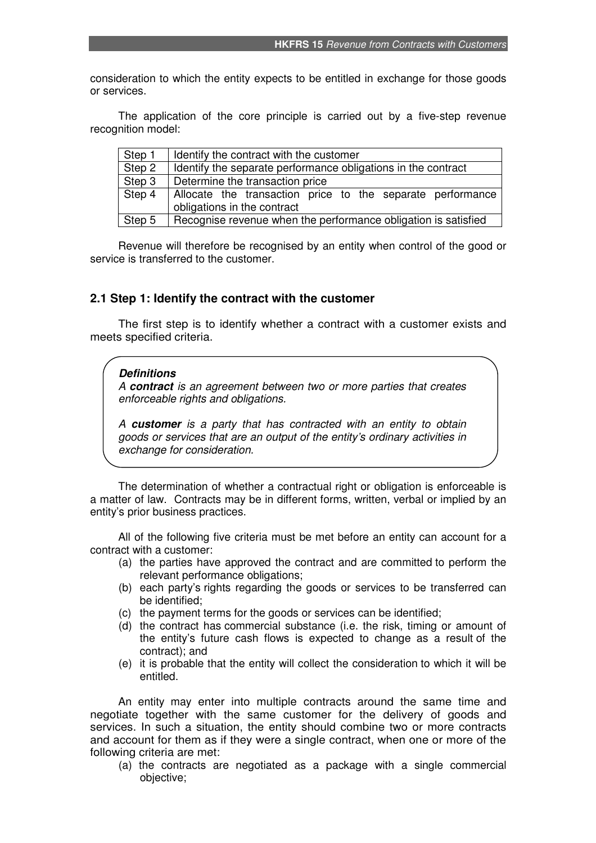consideration to which the entity expects to be entitled in exchange for those goods or services.

The application of the core principle is carried out by a five-step revenue recognition model:

| Step 1                | Identify the contract with the customer                                                   |  |  |  |
|-----------------------|-------------------------------------------------------------------------------------------|--|--|--|
| Step 2                | Identify the separate performance obligations in the contract                             |  |  |  |
| Step 3                | Determine the transaction price                                                           |  |  |  |
| $\overline{$ } Step 4 | Allocate the transaction price to the separate performance<br>obligations in the contract |  |  |  |
| Step 5                | Recognise revenue when the performance obligation is satisfied                            |  |  |  |

Revenue will therefore be recognised by an entity when control of the good or service is transferred to the customer.

#### **2.1 Step 1: Identify the contract with the customer**

The first step is to identify whether a contract with a customer exists and meets specified criteria.

#### *Definitions*

*A contract is an agreement between two or more parties that creates enforceable rights and obligations.* 

*A customer is a party that has contracted with an entity to obtain goods or services that are an output of the entity's ordinary activities in exchange for consideration.* 

The determination of whether a contractual right or obligation is enforceable is a matter of law. Contracts may be in different forms, written, verbal or implied by an entity's prior business practices.

All of the following five criteria must be met before an entity can account for a contract with a customer:

- (a) the parties have approved the contract and are committed to perform the relevant performance obligations;
- (b) each party's rights regarding the goods or services to be transferred can be identified;
- (c) the payment terms for the goods or services can be identified;
- (d) the contract has commercial substance (i.e. the risk, timing or amount of the entity's future cash flows is expected to change as a result of the contract); and
- (e) it is probable that the entity will collect the consideration to which it will be entitled.

An entity may enter into multiple contracts around the same time and negotiate together with the same customer for the delivery of goods and services. In such a situation, the entity should combine two or more contracts and account for them as if they were a single contract, when one or more of the following criteria are met:

(a) the contracts are negotiated as a package with a single commercial objective;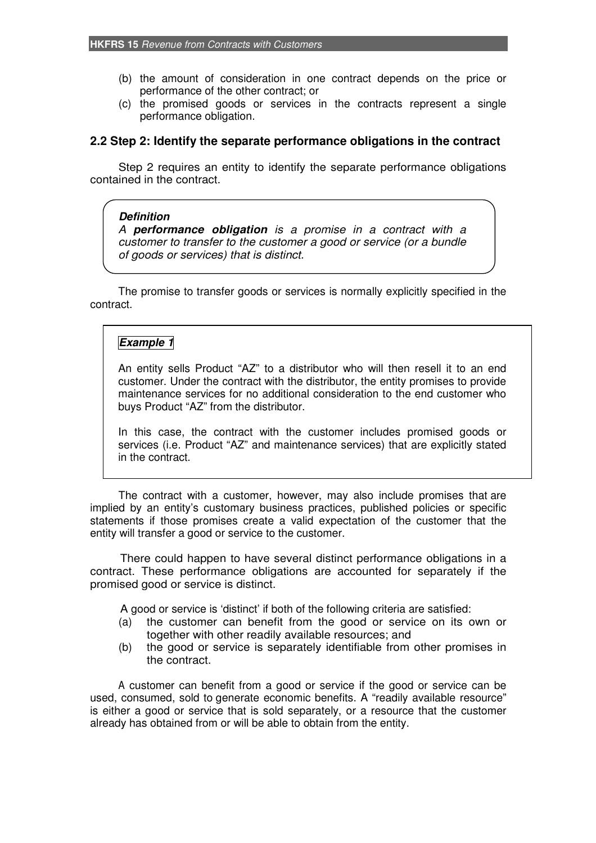- (b) the amount of consideration in one contract depends on the price or performance of the other contract; or
- (c) the promised goods or services in the contracts represent a single performance obligation.

#### **2.2 Step 2: Identify the separate performance obligations in the contract**

Step 2 requires an entity to identify the separate performance obligations contained in the contract.

#### *Definition*

*A performance obligation is a promise in a contract with a customer to transfer to the customer a good or service (or a bundle of goods or services) that is distinct.* 

The promise to transfer goods or services is normally explicitly specified in the contract.

### *Example 1*

An entity sells Product "AZ" to a distributor who will then resell it to an end customer. Under the contract with the distributor, the entity promises to provide maintenance services for no additional consideration to the end customer who buys Product "AZ" from the distributor.

In this case, the contract with the customer includes promised goods or services (i.e. Product "AZ" and maintenance services) that are explicitly stated in the contract.

The contract with a customer, however, may also include promises that are implied by an entity's customary business practices, published policies or specific statements if those promises create a valid expectation of the customer that the entity will transfer a good or service to the customer.

There could happen to have several distinct performance obligations in a contract. These performance obligations are accounted for separately if the promised good or service is distinct.

A good or service is 'distinct' if both of the following criteria are satisfied:

- (a) the customer can benefit from the good or service on its own or together with other readily available resources; and
- (b) the good or service is separately identifiable from other promises in the contract.

A customer can benefit from a good or service if the good or service can be used, consumed, sold to generate economic benefits. A "readily available resource" is either a good or service that is sold separately, or a resource that the customer already has obtained from or will be able to obtain from the entity.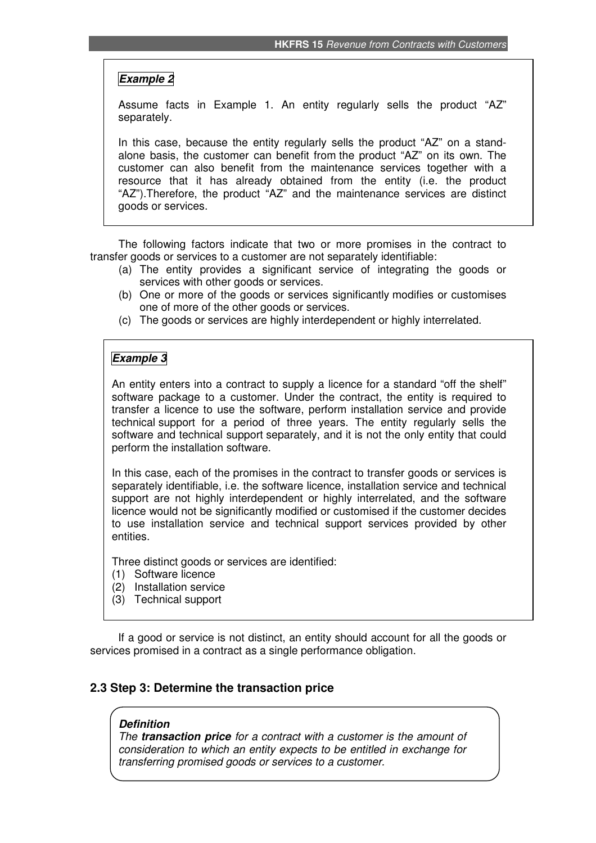## *Example 2*

Assume facts in Example 1. An entity regularly sells the product "AZ" separately.

In this case, because the entity regularly sells the product "AZ" on a standalone basis, the customer can benefit from the product "AZ" on its own. The customer can also benefit from the maintenance services together with a resource that it has already obtained from the entity (i.e. the product "AZ").Therefore, the product "AZ" and the maintenance services are distinct goods or services.

The following factors indicate that two or more promises in the contract to transfer goods or services to a customer are not separately identifiable:

- (a) The entity provides a significant service of integrating the goods or services with other goods or services.
- (b) One or more of the goods or services significantly modifies or customises one of more of the other goods or services.
- (c) The goods or services are highly interdependent or highly interrelated.

### *Example 3*

An entity enters into a contract to supply a licence for a standard "off the shelf" software package to a customer. Under the contract, the entity is required to transfer a licence to use the software, perform installation service and provide technical support for a period of three years. The entity regularly sells the software and technical support separately, and it is not the only entity that could perform the installation software.

In this case, each of the promises in the contract to transfer goods or services is separately identifiable, i.e. the software licence, installation service and technical support are not highly interdependent or highly interrelated, and the software licence would not be significantly modified or customised if the customer decides to use installation service and technical support services provided by other entities.

Three distinct goods or services are identified:

- (1) Software licence
- (2) Installation service
- (3) Technical support

If a good or service is not distinct, an entity should account for all the goods or services promised in a contract as a single performance obligation.

#### **2.3 Step 3: Determine the transaction price**

#### *Definition*

*The transaction price for a contract with a customer is the amount of consideration to which an entity expects to be entitled in exchange for transferring promised goods or services to a customer.*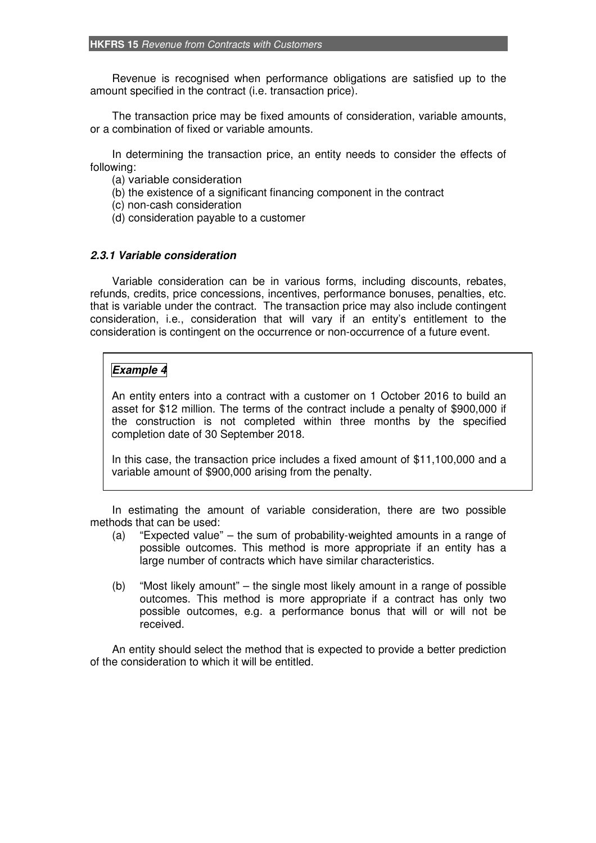Revenue is recognised when performance obligations are satisfied up to the amount specified in the contract (i.e. transaction price).

The transaction price may be fixed amounts of consideration, variable amounts, or a combination of fixed or variable amounts.

In determining the transaction price, an entity needs to consider the effects of following:

- (a) variable consideration
- (b) the existence of a significant financing component in the contract
- (c) non-cash consideration
- (d) consideration payable to a customer

#### *2.3.1 Variable consideration*

Variable consideration can be in various forms, including discounts, rebates, refunds, credits, price concessions, incentives, performance bonuses, penalties, etc. that is variable under the contract. The transaction price may also include contingent consideration, i.e., consideration that will vary if an entity's entitlement to the consideration is contingent on the occurrence or non-occurrence of a future event.

## *Example 4*

An entity enters into a contract with a customer on 1 October 2016 to build an asset for \$12 million. The terms of the contract include a penalty of \$900,000 if the construction is not completed within three months by the specified completion date of 30 September 2018.

In this case, the transaction price includes a fixed amount of \$11,100,000 and a variable amount of \$900,000 arising from the penalty.

In estimating the amount of variable consideration, there are two possible methods that can be used:

- (a) "Expected value" the sum of probability-weighted amounts in a range of possible outcomes. This method is more appropriate if an entity has a large number of contracts which have similar characteristics.
- (b) "Most likely amount" the single most likely amount in a range of possible outcomes. This method is more appropriate if a contract has only two possible outcomes, e.g. a performance bonus that will or will not be received.

An entity should select the method that is expected to provide a better prediction of the consideration to which it will be entitled.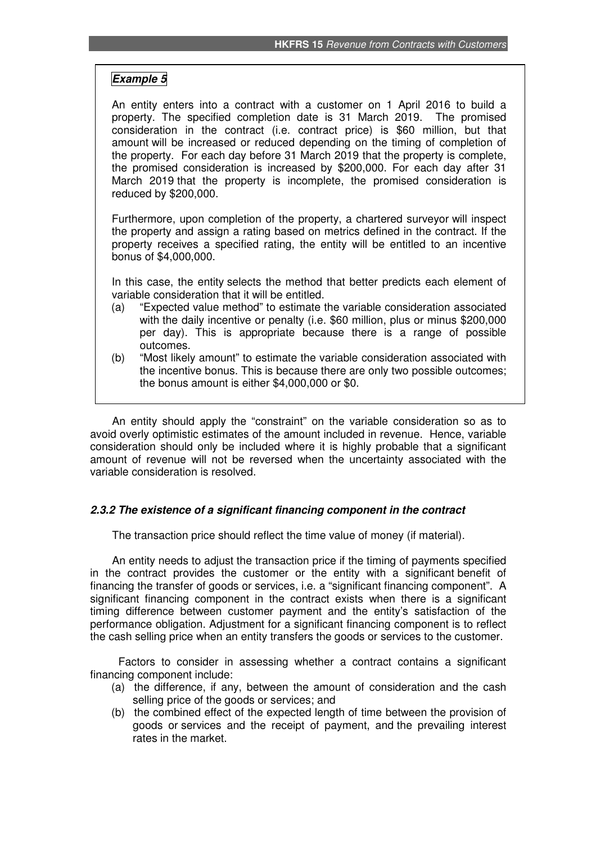### *Example 5*

An entity enters into a contract with a customer on 1 April 2016 to build a property. The specified completion date is 31 March 2019. The promised consideration in the contract (i.e. contract price) is \$60 million, but that amount will be increased or reduced depending on the timing of completion of the property. For each day before 31 March 2019 that the property is complete, the promised consideration is increased by \$200,000. For each day after 31 March 2019 that the property is incomplete, the promised consideration is reduced by \$200,000.

Furthermore, upon completion of the property, a chartered surveyor will inspect the property and assign a rating based on metrics defined in the contract. If the property receives a specified rating, the entity will be entitled to an incentive bonus of \$4,000,000.

In this case, the entity selects the method that better predicts each element of variable consideration that it will be entitled.

- (a) "Expected value method" to estimate the variable consideration associated with the daily incentive or penalty (i.e. \$60 million, plus or minus \$200,000 per day). This is appropriate because there is a range of possible outcomes.
- (b) "Most likely amount" to estimate the variable consideration associated with the incentive bonus. This is because there are only two possible outcomes; the bonus amount is either \$4,000,000 or \$0.

An entity should apply the "constraint" on the variable consideration so as to avoid overly optimistic estimates of the amount included in revenue. Hence, variable consideration should only be included where it is highly probable that a significant amount of revenue will not be reversed when the uncertainty associated with the variable consideration is resolved.

### *2.3.2 The existence of a significant financing component in the contract*

The transaction price should reflect the time value of money (if material).

An entity needs to adjust the transaction price if the timing of payments specified in the contract provides the customer or the entity with a significant benefit of financing the transfer of goods or services, i.e. a "significant financing component". A significant financing component in the contract exists when there is a significant timing difference between customer payment and the entity's satisfaction of the performance obligation. Adjustment for a significant financing component is to reflect the cash selling price when an entity transfers the goods or services to the customer.

Factors to consider in assessing whether a contract contains a significant financing component include:

- (a) the difference, if any, between the amount of consideration and the cash selling price of the goods or services; and
- (b) the combined effect of the expected length of time between the provision of goods or services and the receipt of payment, and the prevailing interest rates in the market.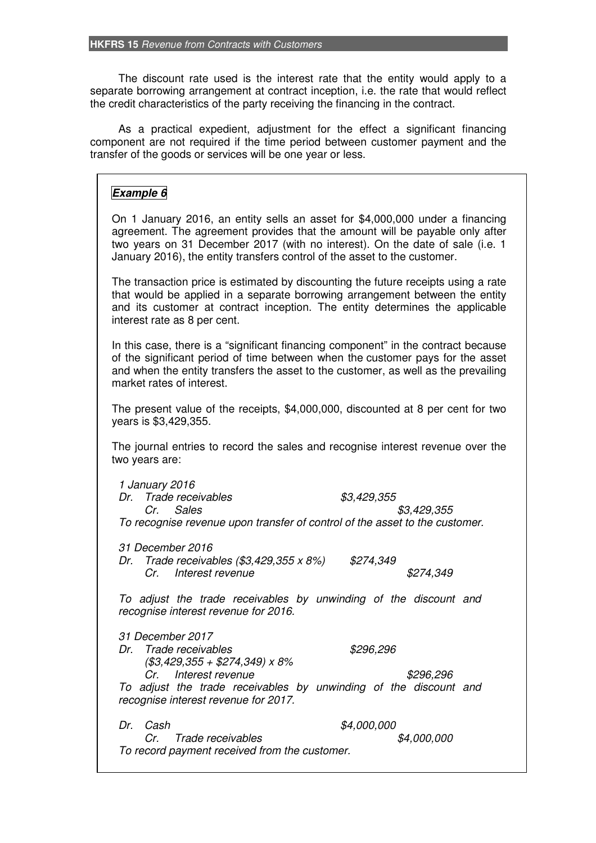The discount rate used is the interest rate that the entity would apply to a separate borrowing arrangement at contract inception, i.e. the rate that would reflect the credit characteristics of the party receiving the financing in the contract.

As a practical expedient, adjustment for the effect a significant financing component are not required if the time period between customer payment and the transfer of the goods or services will be one year or less.

### *Example 6*

On 1 January 2016, an entity sells an asset for \$4,000,000 under a financing agreement. The agreement provides that the amount will be payable only after two years on 31 December 2017 (with no interest). On the date of sale (i.e. 1 January 2016), the entity transfers control of the asset to the customer.

The transaction price is estimated by discounting the future receipts using a rate that would be applied in a separate borrowing arrangement between the entity and its customer at contract inception. The entity determines the applicable interest rate as 8 per cent.

In this case, there is a "significant financing component" in the contract because of the significant period of time between when the customer pays for the asset and when the entity transfers the asset to the customer, as well as the prevailing market rates of interest.

The present value of the receipts, \$4,000,000, discounted at 8 per cent for two years is \$3,429,355.

The journal entries to record the sales and recognise interest revenue over the two years are:

*1 January 2016 Dr. Trade receivables \$3,429,355 Cr. Sales \$3,429,355 To recognise revenue upon transfer of control of the asset to the customer.* 

*31 December 2016* 

*Dr. Trade receivables (\$3,429,355 x 8%) \$274,349 Cr. Interest revenue \$274,349* 

*To adjust the trade receivables by unwinding of the discount and recognise interest revenue for 2016.* 

*31 December 2017 Dr. Trade receivables \$296,296 (\$3,429,355 + \$274,349) x 8% Cr. Interest revenue \$296,296 To adjust the trade receivables by unwinding of the discount and* 

*recognise interest revenue for 2017.* 

*Dr. Cash \$4,000,000 Cr. Trade receivables \$4,000,000 To record payment received from the customer.*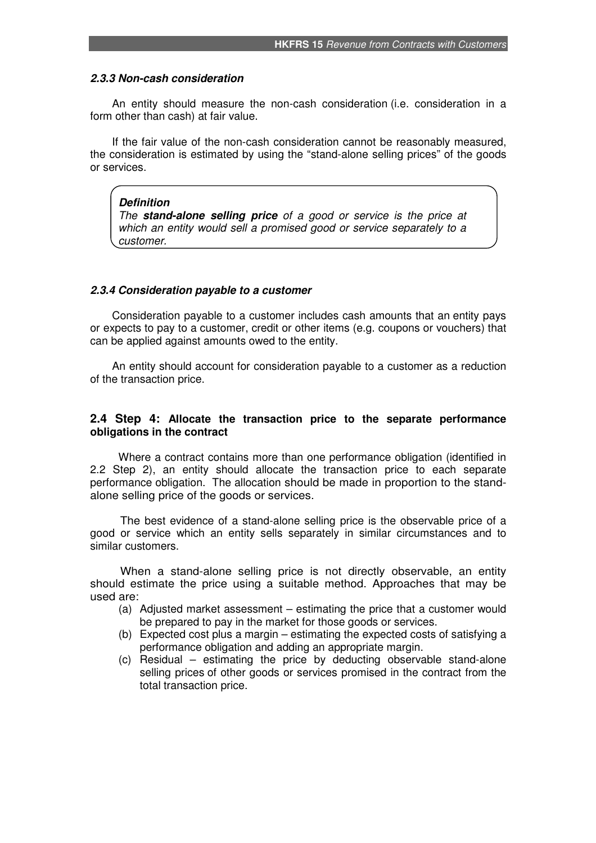#### *2.3.3 Non-cash consideration*

An entity should measure the non-cash consideration (i.e. consideration in a form other than cash) at fair value.

If the fair value of the non-cash consideration cannot be reasonably measured, the consideration is estimated by using the "stand-alone selling prices" of the goods or services.

#### *Definition*

*The stand-alone selling price of a good or service is the price at which an entity would sell a promised good or service separately to a customer.* 

#### *2.3.4 Consideration payable to a customer*

Consideration payable to a customer includes cash amounts that an entity pays or expects to pay to a customer, credit or other items (e.g. coupons or vouchers) that can be applied against amounts owed to the entity.

An entity should account for consideration payable to a customer as a reduction of the transaction price.

#### **2.4 Step 4: Allocate the transaction price to the separate performance obligations in the contract**

Where a contract contains more than one performance obligation (identified in 2.2 Step 2), an entity should allocate the transaction price to each separate performance obligation. The allocation should be made in proportion to the standalone selling price of the goods or services.

The best evidence of a stand-alone selling price is the observable price of a good or service which an entity sells separately in similar circumstances and to similar customers.

When a stand-alone selling price is not directly observable, an entity should estimate the price using a suitable method. Approaches that may be used are:

- (a) Adjusted market assessment estimating the price that a customer would be prepared to pay in the market for those goods or services.
- (b) Expected cost plus a margin estimating the expected costs of satisfying a performance obligation and adding an appropriate margin.
- (c) Residual estimating the price by deducting observable stand-alone selling prices of other goods or services promised in the contract from the total transaction price.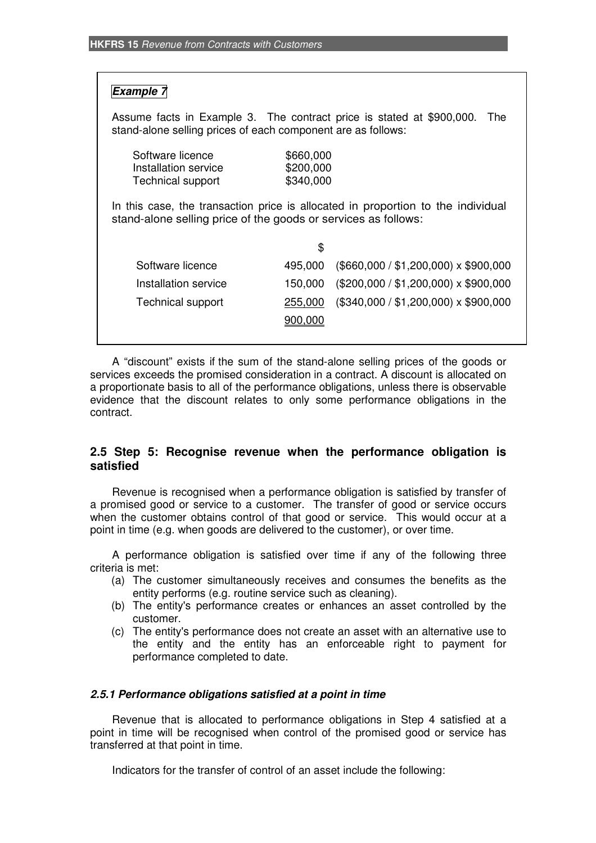## *Example 7*

Assume facts in Example 3. The contract price is stated at \$900,000. The stand-alone selling prices of each component are as follows:

| Software licence         | \$660,000 |
|--------------------------|-----------|
| Installation service     | \$200,000 |
| <b>Technical support</b> | \$340,000 |

In this case, the transaction price is allocated in proportion to the individual stand-alone selling price of the goods or services as follows:

|                          | \$      |                                              |
|--------------------------|---------|----------------------------------------------|
| Software licence         | 495,000 | $($660,000 / $1,200,000) \times $900,000$    |
| Installation service     | 150,000 | $(\$200,000 / \$1,200,000) \times \$900,000$ |
| <b>Technical support</b> | 255,000 | $($340,000 / $1,200,000) \times $900,000$    |
|                          | 900.000 |                                              |
|                          |         |                                              |

A "discount" exists if the sum of the stand-alone selling prices of the goods or services exceeds the promised consideration in a contract. A discount is allocated on a proportionate basis to all of the performance obligations, unless there is observable evidence that the discount relates to only some performance obligations in the contract.

### **2.5 Step 5: Recognise revenue when the performance obligation is satisfied**

Revenue is recognised when a performance obligation is satisfied by transfer of a promised good or service to a customer. The transfer of good or service occurs when the customer obtains control of that good or service. This would occur at a point in time (e.g. when goods are delivered to the customer), or over time.

A performance obligation is satisfied over time if any of the following three criteria is met:

- (a) The customer simultaneously receives and consumes the benefits as the entity performs (e.g. routine service such as cleaning).
- (b) The entity's performance creates or enhances an asset controlled by the customer.
- (c) The entity's performance does not create an asset with an alternative use to the entity and the entity has an enforceable right to payment for performance completed to date.

#### *2.5.1 Performance obligations satisfied at a point in time*

Revenue that is allocated to performance obligations in Step 4 satisfied at a point in time will be recognised when control of the promised good or service has transferred at that point in time.

Indicators for the transfer of control of an asset include the following: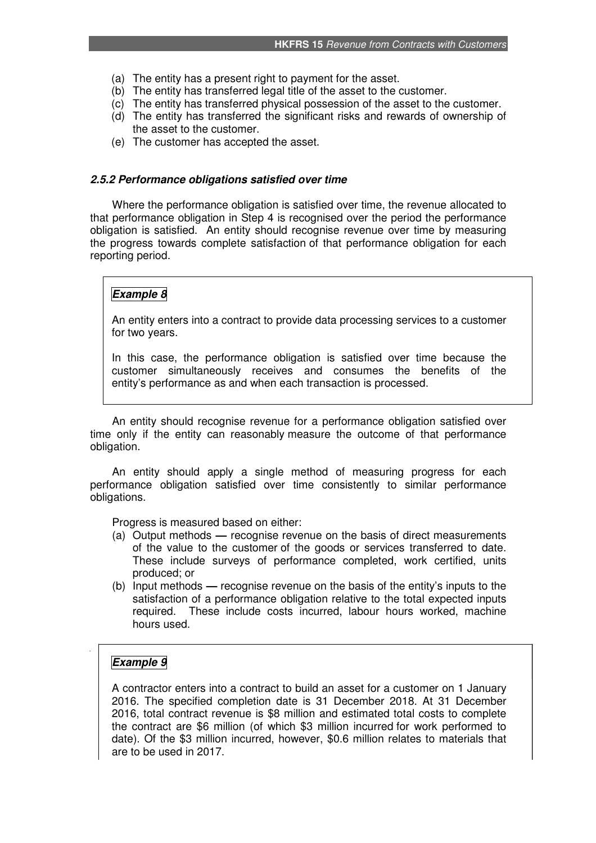- (a) The entity has a present right to payment for the asset.
- (b) The entity has transferred legal title of the asset to the customer.
- (c) The entity has transferred physical possession of the asset to the customer.
- (d) The entity has transferred the significant risks and rewards of ownership of the asset to the customer.
- (e) The customer has accepted the asset.

#### *2.5.2 Performance obligations satisfied over time*

Where the performance obligation is satisfied over time, the revenue allocated to that performance obligation in Step 4 is recognised over the period the performance obligation is satisfied. An entity should recognise revenue over time by measuring the progress towards complete satisfaction of that performance obligation for each reporting period.

## *Example 8*

An entity enters into a contract to provide data processing services to a customer for two years.

In this case, the performance obligation is satisfied over time because the customer simultaneously receives and consumes the benefits of the entity's performance as and when each transaction is processed.

An entity should recognise revenue for a performance obligation satisfied over time only if the entity can reasonably measure the outcome of that performance obligation.

An entity should apply a single method of measuring progress for each performance obligation satisfied over time consistently to similar performance obligations.

Progress is measured based on either:

- (a) Output methodsrecognise revenue on the basis of direct measurements of the value to the customer of the goods or services transferred to date. These include surveys of performance completed, work certified, units produced; or
- (b) Input methods **—** recognise revenue on the basis of the entity's inputs to the satisfaction of a performance obligation relative to the total expected inputs required. These include costs incurred, labour hours worked, machine hours used.

### *Example 9*

A contractor enters into a contract to build an asset for a customer on 1 January 2016. The specified completion date is 31 December 2018. At 31 December 2016, total contract revenue is \$8 million and estimated total costs to complete the contract are \$6 million (of which \$3 million incurred for work performed to date). Of the \$3 million incurred, however, \$0.6 million relates to materials that are to be used in 2017.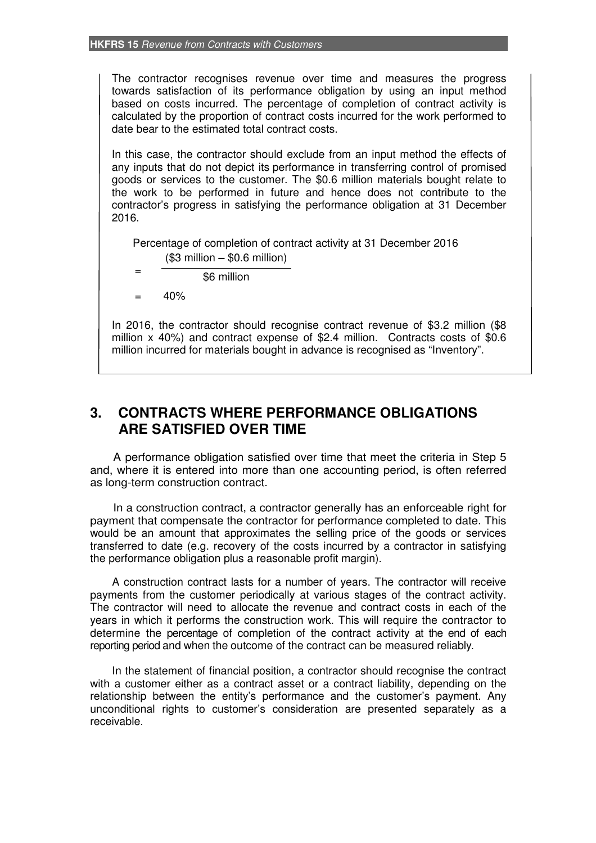The contractor recognises revenue over time and measures the progress towards satisfaction of its performance obligation by using an input method based on costs incurred. The percentage of completion of contract activity is calculated by the proportion of contract costs incurred for the work performed to date bear to the estimated total contract costs.

In this case, the contractor should exclude from an input method the effects of any inputs that do not depict its performance in transferring control of promised goods or services to the customer. The \$0.6 million materials bought relate to the work to be performed in future and hence does not contribute to the contractor's progress in satisfying the performance obligation at 31 December 2016.

Percentage of completion of contract activity at 31 December 2016 (\$3 million **–** \$0.6 million)

\$6 million

 $= 40%$ 

=

In 2016, the contractor should recognise contract revenue of \$3.2 million (\$8 million x 40%) and contract expense of \$2.4 million. Contracts costs of \$0.6 million incurred for materials bought in advance is recognised as "Inventory".

## **3. CONTRACTS WHERE PERFORMANCE OBLIGATIONS ARE SATISFIED OVER TIME**

A performance obligation satisfied over time that meet the criteria in Step 5 and, where it is entered into more than one accounting period, is often referred as long-term construction contract.

In a construction contract, a contractor generally has an enforceable right for payment that compensate the contractor for performance completed to date. This would be an amount that approximates the selling price of the goods or services transferred to date (e.g. recovery of the costs incurred by a contractor in satisfying the performance obligation plus a reasonable profit margin).

A construction contract lasts for a number of years. The contractor will receive payments from the customer periodically at various stages of the contract activity. The contractor will need to allocate the revenue and contract costs in each of the years in which it performs the construction work. This will require the contractor to determine the percentage of completion of the contract activity at the end of each reporting period and when the outcome of the contract can be measured reliably.

In the statement of financial position, a contractor should recognise the contract with a customer either as a contract asset or a contract liability, depending on the relationship between the entity's performance and the customer's payment. Any unconditional rights to customer's consideration are presented separately as a receivable.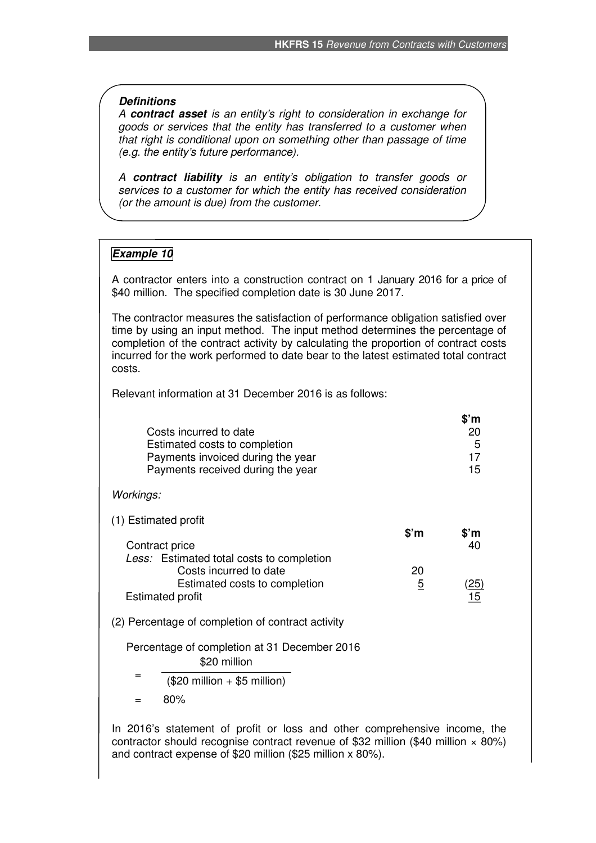#### *Definitions*

*A contract asset is an entity's right to consideration in exchange for goods or services that the entity has transferred to a customer when that right is conditional upon on something other than passage of time (e.g. the entity's future performance).* 

*A contract liability is an entity's obligation to transfer goods or services to a customer for which the entity has received consideration (or the amount is due) from the customer.* 

### *Example 10*

A contractor enters into a construction contract on 1 January 2016 for a price of \$40 million. The specified completion date is 30 June 2017.

The contractor measures the satisfaction of performance obligation satisfied over time by using an input method. The input method determines the percentage of completion of the contract activity by calculating the proportion of contract costs incurred for the work performed to date bear to the latest estimated total contract costs.

Relevant information at 31 December 2016 is as follows:

| Costs incurred to date<br>Estimated costs to completion<br>Payments invoiced during the year<br>Payments received during the year |                      | \$'m<br>20<br>5<br>17<br>15 |
|-----------------------------------------------------------------------------------------------------------------------------------|----------------------|-----------------------------|
| Workings:                                                                                                                         |                      |                             |
| (1) Estimated profit<br>Contract price                                                                                            | $$^{\prime}$ m       | \$'m<br>40                  |
| Less: Estimated total costs to completion<br>Costs incurred to date<br>Estimated costs to completion<br><b>Estimated profit</b>   | 20<br>$\overline{5}$ | <u>(25)</u><br>15           |
| (2) Percentage of completion of contract activity                                                                                 |                      |                             |
| Percentage of completion at 31 December 2016<br>\$20 million                                                                      |                      |                             |
| =<br>$(0.00 \text{ million} \cdot 0.5 \text{ million})$                                                                           |                      |                             |

 $($20$  million  $+ $5$  million)

 $= 80\%$ 

In 2016's statement of profit or loss and other comprehensive income, the contractor should recognise contract revenue of \$32 million (\$40 million  $\times$  80%) and contract expense of \$20 million (\$25 million x 80%).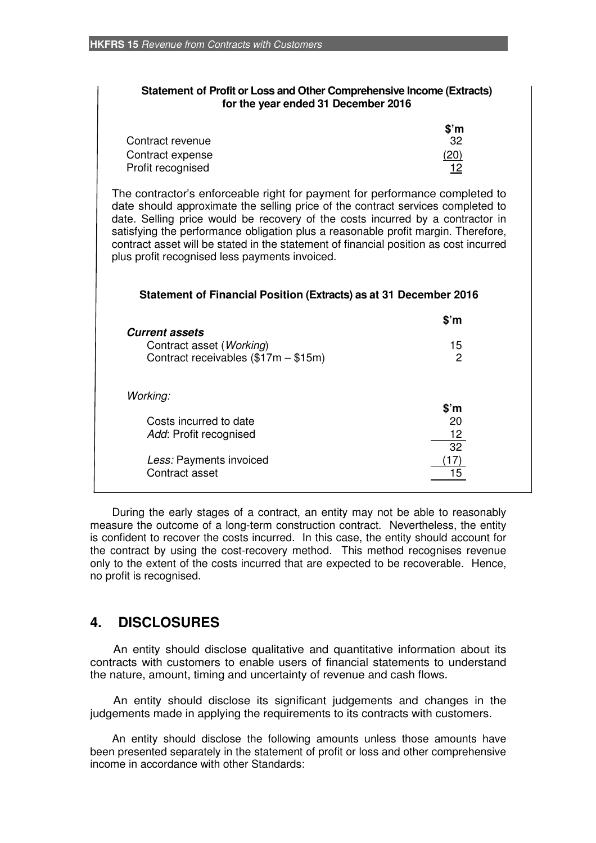| <b>Statement of Profit or Loss and Other Comprehensive Income (Extracts)</b><br>for the year ended 31 December 2016                                                                                                                                                                                                                                                                                                                                                                                                                                   |                                   |
|-------------------------------------------------------------------------------------------------------------------------------------------------------------------------------------------------------------------------------------------------------------------------------------------------------------------------------------------------------------------------------------------------------------------------------------------------------------------------------------------------------------------------------------------------------|-----------------------------------|
| Contract revenue<br>Contract expense<br>Profit recognised                                                                                                                                                                                                                                                                                                                                                                                                                                                                                             | $$^{\circ}$ m<br>32<br>(20)<br>12 |
| The contractor's enforceable right for payment for performance completed to<br>date should approximate the selling price of the contract services completed to<br>date. Selling price would be recovery of the costs incurred by a contractor in<br>satisfying the performance obligation plus a reasonable profit margin. Therefore,<br>contract asset will be stated in the statement of financial position as cost incurred<br>plus profit recognised less payments invoiced.<br>Statement of Financial Position (Extracts) as at 31 December 2016 |                                   |
|                                                                                                                                                                                                                                                                                                                                                                                                                                                                                                                                                       | $$^{\circ}$ m                     |
| <b>Current assets</b><br>Contract asset (Working)                                                                                                                                                                                                                                                                                                                                                                                                                                                                                                     | 15                                |
| Contract receivables (\$17m - \$15m)                                                                                                                                                                                                                                                                                                                                                                                                                                                                                                                  | 2                                 |
| Working:                                                                                                                                                                                                                                                                                                                                                                                                                                                                                                                                              |                                   |
| Costs incurred to date                                                                                                                                                                                                                                                                                                                                                                                                                                                                                                                                | $$^{\prime}$ m<br>20              |
| Add: Profit recognised                                                                                                                                                                                                                                                                                                                                                                                                                                                                                                                                | 12                                |
|                                                                                                                                                                                                                                                                                                                                                                                                                                                                                                                                                       | 32                                |
| Less: Payments invoiced<br>Contract asset                                                                                                                                                                                                                                                                                                                                                                                                                                                                                                             | 15                                |
|                                                                                                                                                                                                                                                                                                                                                                                                                                                                                                                                                       |                                   |

During the early stages of a contract, an entity may not be able to reasonably measure the outcome of a long-term construction contract. Nevertheless, the entity is confident to recover the costs incurred. In this case, the entity should account for the contract by using the cost-recovery method. This method recognises revenue only to the extent of the costs incurred that are expected to be recoverable. Hence, no profit is recognised.

# **4. DISCLOSURES**

An entity should disclose qualitative and quantitative information about its contracts with customers to enable users of financial statements to understand the nature, amount, timing and uncertainty of revenue and cash flows.

An entity should disclose its significant judgements and changes in the judgements made in applying the requirements to its contracts with customers.

An entity should disclose the following amounts unless those amounts have been presented separately in the statement of profit or loss and other comprehensive income in accordance with other Standards: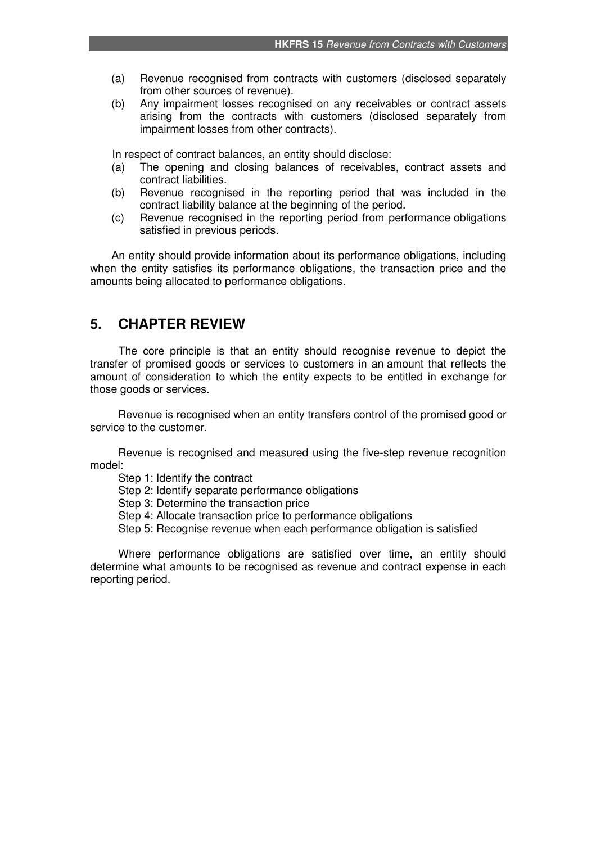- (a) Revenue recognised from contracts with customers (disclosed separately from other sources of revenue).
- (b) Any impairment losses recognised on any receivables or contract assets arising from the contracts with customers (disclosed separately from impairment losses from other contracts).

In respect of contract balances, an entity should disclose:

- (a) The opening and closing balances of receivables, contract assets and contract liabilities.
- (b) Revenue recognised in the reporting period that was included in the contract liability balance at the beginning of the period.
- (c) Revenue recognised in the reporting period from performance obligations satisfied in previous periods.

An entity should provide information about its performance obligations, including when the entity satisfies its performance obligations, the transaction price and the amounts being allocated to performance obligations.

## **5. CHAPTER REVIEW**

The core principle is that an entity should recognise revenue to depict the transfer of promised goods or services to customers in an amount that reflects the amount of consideration to which the entity expects to be entitled in exchange for those goods or services.

Revenue is recognised when an entity transfers control of the promised good or service to the customer.

Revenue is recognised and measured using the five-step revenue recognition model:

Step 1: Identify the contract

Step 2: Identify separate performance obligations

Step 3: Determine the transaction price

- Step 4: Allocate transaction price to performance obligations
- Step 5: Recognise revenue when each performance obligation is satisfied

Where performance obligations are satisfied over time, an entity should determine what amounts to be recognised as revenue and contract expense in each reporting period.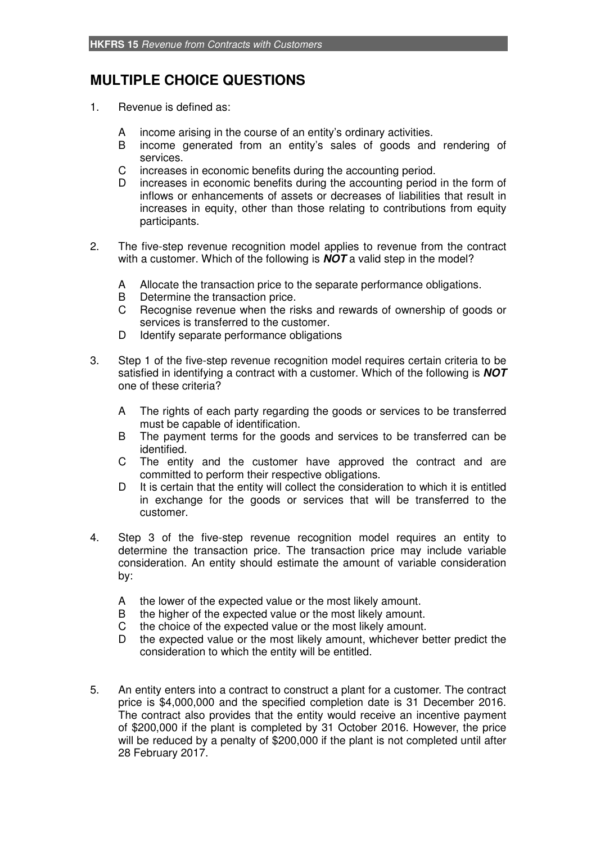# **MULTIPLE CHOICE QUESTIONS**

- 1. Revenue is defined as:
	- A income arising in the course of an entity's ordinary activities.
	- B income generated from an entity's sales of goods and rendering of services.
	- C increases in economic benefits during the accounting period.
	- D increases in economic benefits during the accounting period in the form of inflows or enhancements of assets or decreases of liabilities that result in increases in equity, other than those relating to contributions from equity participants.
- 2. The five-step revenue recognition model applies to revenue from the contract with a customer. Which of the following is *NOT* a valid step in the model?
	- A Allocate the transaction price to the separate performance obligations.
	- B Determine the transaction price.
	- C Recognise revenue when the risks and rewards of ownership of goods or services is transferred to the customer.
	- D Identify separate performance obligations
- 3. Step 1 of the five-step revenue recognition model requires certain criteria to be satisfied in identifying a contract with a customer. Which of the following is *NOT* one of these criteria?
	- A The rights of each party regarding the goods or services to be transferred must be capable of identification.
	- B The payment terms for the goods and services to be transferred can be identified.
	- C The entity and the customer have approved the contract and are committed to perform their respective obligations.
	- D It is certain that the entity will collect the consideration to which it is entitled in exchange for the goods or services that will be transferred to the customer.
- 4. Step 3 of the five-step revenue recognition model requires an entity to determine the transaction price. The transaction price may include variable consideration. An entity should estimate the amount of variable consideration by:
	- A the lower of the expected value or the most likely amount.
	- B the higher of the expected value or the most likely amount.
	- C the choice of the expected value or the most likely amount.
	- D the expected value or the most likely amount, whichever better predict the consideration to which the entity will be entitled.
- 5. An entity enters into a contract to construct a plant for a customer. The contract price is \$4,000,000 and the specified completion date is 31 December 2016. The contract also provides that the entity would receive an incentive payment of \$200,000 if the plant is completed by 31 October 2016. However, the price will be reduced by a penalty of \$200,000 if the plant is not completed until after 28 February 2017.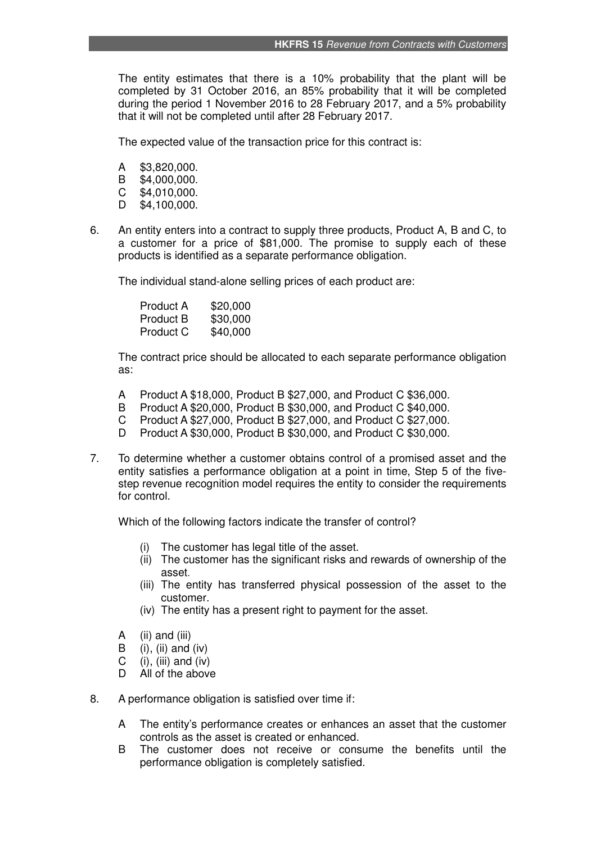The entity estimates that there is a 10% probability that the plant will be completed by 31 October 2016, an 85% probability that it will be completed during the period 1 November 2016 to 28 February 2017, and a 5% probability that it will not be completed until after 28 February 2017.

The expected value of the transaction price for this contract is:

- A \$3,820,000.
- B \$4,000,000.
- C \$4,010,000.
- D \$4,100,000.
- 6. An entity enters into a contract to supply three products, Product A, B and C, to a customer for a price of \$81,000. The promise to supply each of these products is identified as a separate performance obligation.

The individual stand-alone selling prices of each product are:

| Product A        | \$20,000 |
|------------------|----------|
| <b>Product B</b> | \$30,000 |
| Product C        | \$40,000 |

 The contract price should be allocated to each separate performance obligation as:

- A Product A \$18,000, Product B \$27,000, and Product C \$36,000.
- B Product A \$20,000, Product B \$30,000, and Product C \$40,000.
- C Product A \$27,000, Product B \$27,000, and Product C \$27,000.
- D Product A \$30,000, Product B \$30,000, and Product C \$30,000.
- 7. To determine whether a customer obtains control of a promised asset and the entity satisfies a performance obligation at a point in time, Step 5 of the fivestep revenue recognition model requires the entity to consider the requirements for control.

Which of the following factors indicate the transfer of control?

- (i) The customer has legal title of the asset.
- (ii) The customer has the significant risks and rewards of ownership of the asset.
- (iii) The entity has transferred physical possession of the asset to the customer.
- (iv) The entity has a present right to payment for the asset.
- A (ii) and (iii)
- $\mathbf{B}$  (i), (ii) and (iv)
- C (i), (iii) and (iv)
- D All of the above
- 8. A performance obligation is satisfied over time if:
	- A The entity's performance creates or enhances an asset that the customer controls as the asset is created or enhanced.
	- B The customer does not receive or consume the benefits until the performance obligation is completely satisfied.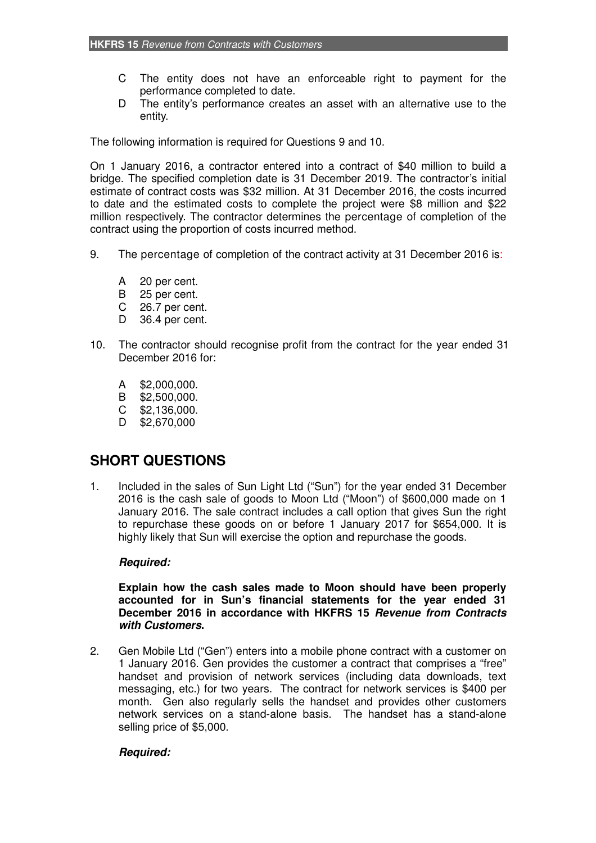- C The entity does not have an enforceable right to payment for the performance completed to date.
- D The entity's performance creates an asset with an alternative use to the entity.

The following information is required for Questions 9 and 10.

On 1 January 2016, a contractor entered into a contract of \$40 million to build a bridge. The specified completion date is 31 December 2019. The contractor's initial estimate of contract costs was \$32 million. At 31 December 2016, the costs incurred to date and the estimated costs to complete the project were \$8 million and \$22 million respectively. The contractor determines the percentage of completion of the contract using the proportion of costs incurred method.

- 9. The percentage of completion of the contract activity at 31 December 2016 is:
	- A 20 per cent.
	- B 25 per cent.
	- C 26.7 per cent.
	- D 36.4 per cent.
- 10. The contractor should recognise profit from the contract for the year ended 31 December 2016 for:
	- A \$2,000,000.
	- B \$2,500,000.
	- C \$2,136,000.
	- D \$2,670,000

# **SHORT QUESTIONS**

1. Included in the sales of Sun Light Ltd ("Sun") for the year ended 31 December 2016 is the cash sale of goods to Moon Ltd ("Moon") of \$600,000 made on 1 January 2016. The sale contract includes a call option that gives Sun the right to repurchase these goods on or before 1 January 2017 for \$654,000. It is highly likely that Sun will exercise the option and repurchase the goods.

## *Required:*

#### **Explain how the cash sales made to Moon should have been properly accounted for in Sun's financial statements for the year ended 31 December 2016 in accordance with HKFRS 15** *Revenue from Contracts with Customers***.**

2. Gen Mobile Ltd ("Gen") enters into a mobile phone contract with a customer on 1 January 2016. Gen provides the customer a contract that comprises a "free" handset and provision of network services (including data downloads, text messaging, etc.) for two years. The contract for network services is \$400 per month. Gen also regularly sells the handset and provides other customers network services on a stand-alone basis. The handset has a stand-alone selling price of \$5,000.

## *Required:*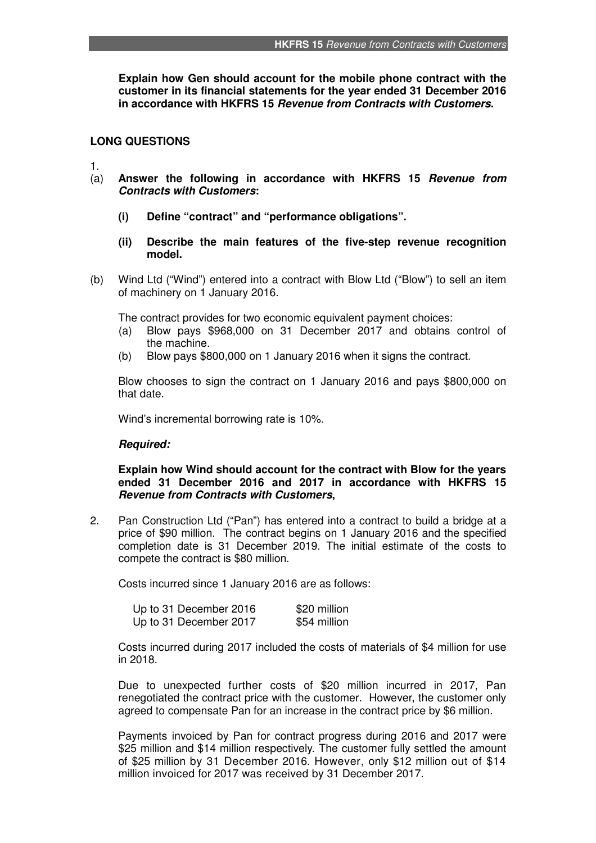**Explain how Gen should account for the mobile phone contract with the customer in its financial statements for the year ended 31 December 2016 in accordance with HKFRS 15** *Revenue from Contracts with Customers***.** 

#### **LONG QUESTIONS**

1.

- (a) **Answer the following in accordance with HKFRS 15** *Revenue from Contracts with Customers***:** 
	- **(i) Define "contract" and "performance obligations".**
	- **(ii) Describe the main features of the five-step revenue recognition model.**
- (b) Wind Ltd ("Wind") entered into a contract with Blow Ltd ("Blow") to sell an item of machinery on 1 January 2016.

The contract provides for two economic equivalent payment choices:

- (a) Blow pays \$968,000 on 31 December 2017 and obtains control of the machine.
- (b) Blow pays \$800,000 on 1 January 2016 when it signs the contract.

 Blow chooses to sign the contract on 1 January 2016 and pays \$800,000 on that date.

Wind's incremental borrowing rate is 10%.

#### *Required:*

**Explain how Wind should account for the contract with Blow for the years ended 31 December 2016 and 2017 in accordance with HKFRS 15**  *Revenue from Contracts with Customers***,** 

2. Pan Construction Ltd ("Pan") has entered into a contract to build a bridge at a price of \$90 million. The contract begins on 1 January 2016 and the specified completion date is 31 December 2019. The initial estimate of the costs to compete the contract is \$80 million.

Costs incurred since 1 January 2016 are as follows:

| Up to 31 December 2016 | \$20 million |
|------------------------|--------------|
| Up to 31 December 2017 | \$54 million |

Costs incurred during 2017 included the costs of materials of \$4 million for use in 2018.

Due to unexpected further costs of \$20 million incurred in 2017, Pan renegotiated the contract price with the customer. However, the customer only agreed to compensate Pan for an increase in the contract price by \$6 million.

Payments invoiced by Pan for contract progress during 2016 and 2017 were \$25 million and \$14 million respectively. The customer fully settled the amount of \$25 million by 31 December 2016. However, only \$12 million out of \$14 million invoiced for 2017 was received by 31 December 2017.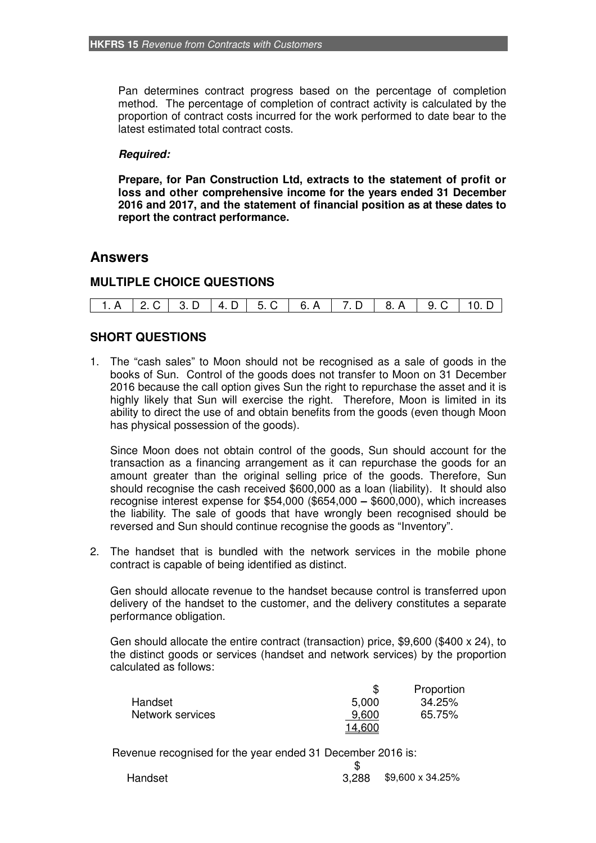Pan determines contract progress based on the percentage of completion method. The percentage of completion of contract activity is calculated by the proportion of contract costs incurred for the work performed to date bear to the latest estimated total contract costs.

#### *Required:*

**Prepare, for Pan Construction Ltd, extracts to the statement of profit or loss and other comprehensive income for the years ended 31 December 2016 and 2017, and the statement of financial position as at these dates to report the contract performance.** 

### **Answers**

## **MULTIPLE CHOICE QUESTIONS**

## **SHORT QUESTIONS**

1. The "cash sales" to Moon should not be recognised as a sale of goods in the books of Sun. Control of the goods does not transfer to Moon on 31 December 2016 because the call option gives Sun the right to repurchase the asset and it is highly likely that Sun will exercise the right. Therefore, Moon is limited in its ability to direct the use of and obtain benefits from the goods (even though Moon has physical possession of the goods).

 Since Moon does not obtain control of the goods, Sun should account for the transaction as a financing arrangement as it can repurchase the goods for an amount greater than the original selling price of the goods. Therefore, Sun should recognise the cash received \$600,000 as a loan (liability). It should also recognise interest expense for \$54,000 (\$654,000 **–** \$600,000), which increases the liability. The sale of goods that have wrongly been recognised should be reversed and Sun should continue recognise the goods as "Inventory".

2. The handset that is bundled with the network services in the mobile phone contract is capable of being identified as distinct.

Gen should allocate revenue to the handset because control is transferred upon delivery of the handset to the customer, and the delivery constitutes a separate performance obligation.

 Gen should allocate the entire contract (transaction) price, \$9,600 (\$400 x 24), to the distinct goods or services (handset and network services) by the proportion calculated as follows:

|                  |        | Proportion |
|------------------|--------|------------|
| Handset          | 5,000  | 34.25%     |
| Network services | 9.600  | 65.75%     |
|                  | 14,600 |            |

Revenue recognised for the year ended 31 December 2016 is:

| Handset | $3,288$ \$9,600 x 34.25% |
|---------|--------------------------|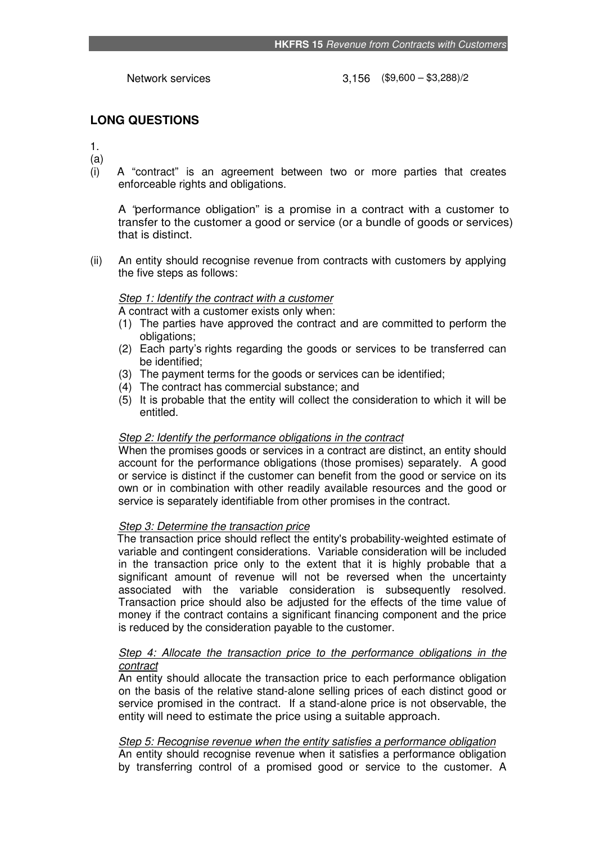Network services 3,156 (\$9,600 – \$3,288)/2

## **LONG QUESTIONS**

1. (a)

(i) A "contract" is an agreement between two or more parties that creates enforceable rights and obligations.

A *"*performance obligation" is a promise in a contract with a customer to transfer to the customer a good or service (or a bundle of goods or services) that is distinct.

(ii) An entity should recognise revenue from contracts with customers by applying the five steps as follows:

## *Step 1: Identify the contract with a customer*

A contract with a customer exists only when:

- (1) The parties have approved the contract and are committed to perform the obligations;
- (2) Each party's rights regarding the goods or services to be transferred can be identified;
- (3) The payment terms for the goods or services can be identified;
- (4) The contract has commercial substance; and
- (5) It is probable that the entity will collect the consideration to which it will be entitled.

### *Step 2: Identify the performance obligations in the contract*

When the promises goods or services in a contract are distinct, an entity should account for the performance obligations (those promises) separately. A good or service is distinct if the customer can benefit from the good or service on its own or in combination with other readily available resources and the good or service is separately identifiable from other promises in the contract.

### *Step 3: Determine the transaction price*

The transaction price should reflect the entity's probability-weighted estimate of variable and contingent considerations. Variable consideration will be included in the transaction price only to the extent that it is highly probable that a significant amount of revenue will not be reversed when the uncertainty associated with the variable consideration is subsequently resolved. Transaction price should also be adjusted for the effects of the time value of money if the contract contains a significant financing component and the price is reduced by the consideration payable to the customer.

#### *Step 4: Allocate the transaction price to the performance obligations in the contract*

An entity should allocate the transaction price to each performance obligation on the basis of the relative stand-alone selling prices of each distinct good or service promised in the contract. If a stand-alone price is not observable, the entity will need to estimate the price using a suitable approach.

## *Step 5: Recognise revenue when the entity satisfies a performance obligation*

An entity should recognise revenue when it satisfies a performance obligation by transferring control of a promised good or service to the customer. A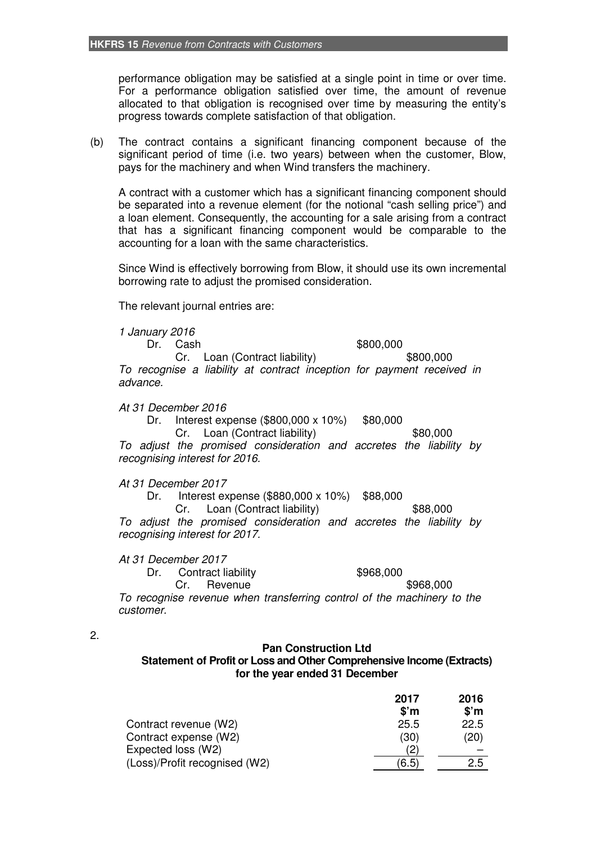performance obligation may be satisfied at a single point in time or over time. For a performance obligation satisfied over time, the amount of revenue allocated to that obligation is recognised over time by measuring the entity's progress towards complete satisfaction of that obligation.

(b) The contract contains a significant financing component because of the significant period of time (i.e. two years) between when the customer, Blow, pays for the machinery and when Wind transfers the machinery.

 A contract with a customer which has a significant financing component should be separated into a revenue element (for the notional "cash selling price") and a loan element. Consequently, the accounting for a sale arising from a contract that has a significant financing component would be comparable to the accounting for a loan with the same characteristics.

 Since Wind is effectively borrowing from Blow, it should use its own incremental borrowing rate to adjust the promised consideration.

The relevant journal entries are:

 *1 January 2016*

Dr. Cash \$800,000 Cr. Loan (Contract liability) \$800,000 *To recognise a liability at contract inception for payment received in advance.* 

#### *At 31 December 2016*

Dr. Interest expense (\$800,000 x 10%) \$80,000

Cr. Loan (Contract liability) \$80,000

*To adjust the promised consideration and accretes the liability by recognising interest for 2016.* 

#### *At 31 December 2017*

Dr. Interest expense (\$880,000 x 10%) \$88,000

Cr. Loan (Contract liability) \$88,000

*To adjust the promised consideration and accretes the liability by recognising interest for 2017.* 

 *At 31 December 2017* 

Dr. Contract liability \$968,000 Cr. Revenue \$968,000

*To recognise revenue when transferring control of the machinery to the customer.* 

#### 2.

## **Pan Construction Ltd**

**Statement of Profit or Loss and Other Comprehensive Income (Extracts) for the year ended 31 December** 

|                               | 2017          | 2016          |
|-------------------------------|---------------|---------------|
|                               | \$'m          | $$^{\circ}$ m |
| Contract revenue (W2)         | 25.5          | 22.5          |
| Contract expense (W2)         | (30)          | (20)          |
| Expected loss (W2)            |               |               |
| (Loss)/Profit recognised (W2) | $6.5^{\circ}$ | 2.5           |